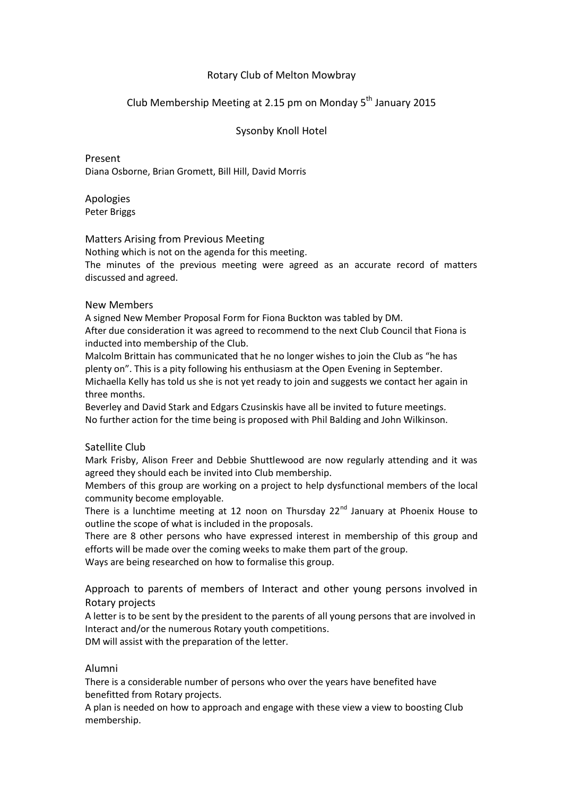### Rotary Club of Melton Mowbray

## Club Membership Meeting at 2.15 pm on Monday 5<sup>th</sup> January 2015

#### Sysonby Knoll Hotel

Present Diana Osborne, Brian Gromett, Bill Hill, David Morris

Apologies Peter Briggs

#### Matters Arising from Previous Meeting

Nothing which is not on the agenda for this meeting.

The minutes of the previous meeting were agreed as an accurate record of matters discussed and agreed.

#### New Members

A signed New Member Proposal Form for Fiona Buckton was tabled by DM.

After due consideration it was agreed to recommend to the next Club Council that Fiona is inducted into membership of the Club.

Malcolm Brittain has communicated that he no longer wishes to join the Club as "he has plenty on". This is a pity following his enthusiasm at the Open Evening in September. Michaella Kelly has told us she is not yet ready to join and suggests we contact her again in three months.

Beverley and David Stark and Edgars Czusinskis have all be invited to future meetings. No further action for the time being is proposed with Phil Balding and John Wilkinson.

#### Satellite Club

Mark Frisby, Alison Freer and Debbie Shuttlewood are now regularly attending and it was agreed they should each be invited into Club membership.

Members of this group are working on a project to help dysfunctional members of the local community become employable.

There is a lunchtime meeting at 12 noon on Thursday  $22^{nd}$  January at Phoenix House to outline the scope of what is included in the proposals.

There are 8 other persons who have expressed interest in membership of this group and efforts will be made over the coming weeks to make them part of the group.

Ways are being researched on how to formalise this group.

Approach to parents of members of Interact and other young persons involved in Rotary projects

A letter is to be sent by the president to the parents of all young persons that are involved in Interact and/or the numerous Rotary youth competitions. DM will assist with the preparation of the letter.

# Alumni

There is a considerable number of persons who over the years have benefited have benefitted from Rotary projects.

A plan is needed on how to approach and engage with these view a view to boosting Club membership.